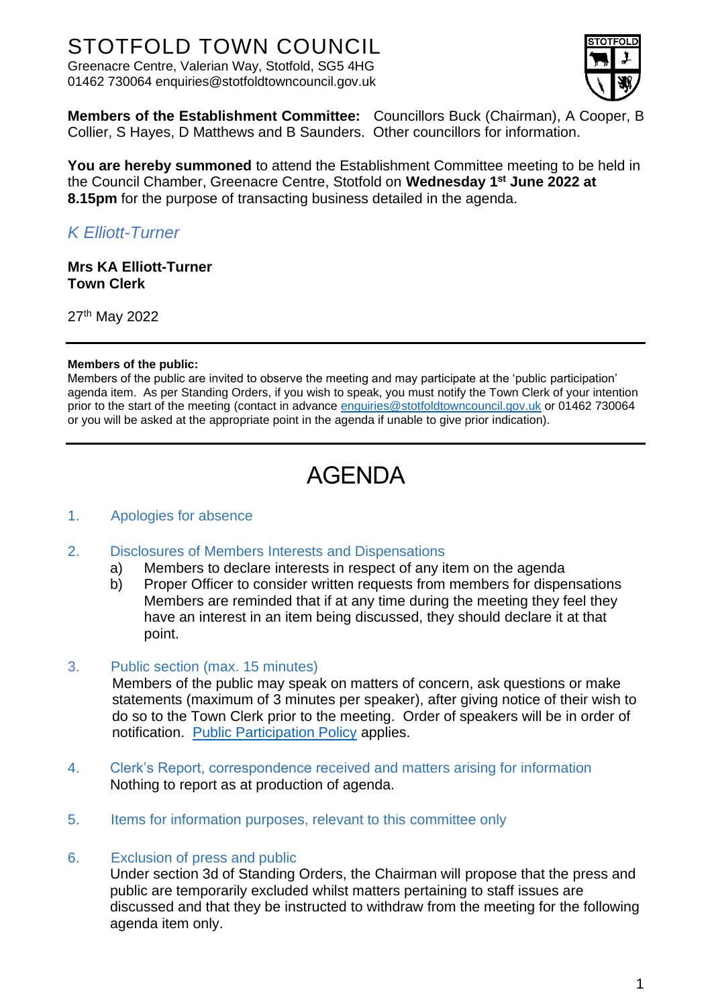## STOTFOLD TOWN COUNCIL

Greenacre Centre, Valerian Way, Stotfold, SG5 4HG 01462 730064 enquiries@stotfoldtowncouncil.gov.uk



**Members of the Establishment Committee:** Councillors Buck (Chairman), A Cooper, B Collier, S Hayes, D Matthews and B Saunders. Other councillors for information.

**You are hereby summoned** to attend the Establishment Committee meeting to be held in the Council Chamber, Greenacre Centre, Stotfold on **Wednesday 1 st June 2022 at 8.15pm** for the purpose of transacting business detailed in the agenda.

### *K Elliott-Turner*

**Mrs KA Elliott-Turner Town Clerk**

27<sup>th</sup> May 2022

#### **Members of the public:**

Members of the public are invited to observe the meeting and may participate at the 'public participation' agenda item. As per Standing Orders, if you wish to speak, you must notify the Town Clerk of your intention prior to the start of the meeting (contact in advance [enquiries@stotfoldtowncouncil.gov.uk](mailto:enquiries@stotfoldtowncouncil.gov.uk) or 01462 730064 or you will be asked at the appropriate point in the agenda if unable to give prior indication).

# AGENDA

#### 1. Apologies for absence

- 2. Disclosures of Members Interests and Dispensations
	- a) Members to declare interests in respect of any item on the agenda
	- b) Proper Officer to consider written requests from members for dispensations Members are reminded that if at any time during the meeting they feel they have an interest in an item being discussed, they should declare it at that point.

#### 3. Public section (max. 15 minutes)

Members of the public may speak on matters of concern, ask questions or make statements (maximum of 3 minutes per speaker), after giving notice of their wish to do so to the Town Clerk prior to the meeting. Order of speakers will be in order of notification. [Public Participation Policy](http://www.stotfoldtowncouncil.gov.uk/_UserFiles/Files/Council/PUBLIC%20PARTICIPATION.pdf) applies.

- 4. Clerk's Report, correspondence received and matters arising for information Nothing to report as at production of agenda.
- 5. Items for information purposes, relevant to this committee only

#### 6. Exclusion of press and public

Under section 3d of Standing Orders, the Chairman will propose that the press and public are temporarily excluded whilst matters pertaining to staff issues are discussed and that they be instructed to withdraw from the meeting for the following agenda item only.